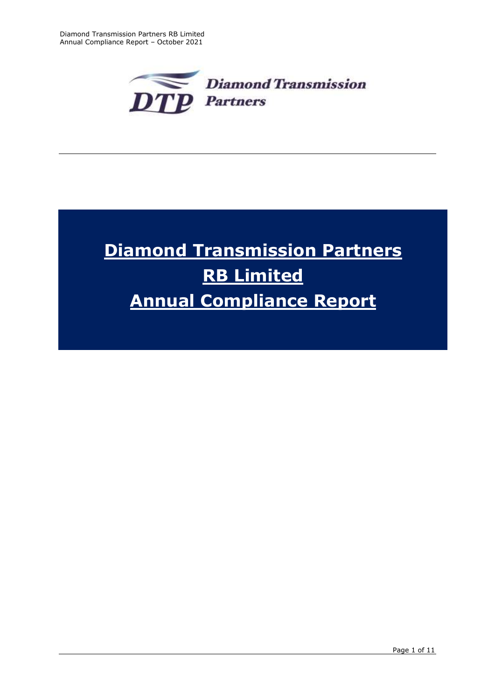

# **Diamond Transmission Partners RB Limited Annual Compliance Report**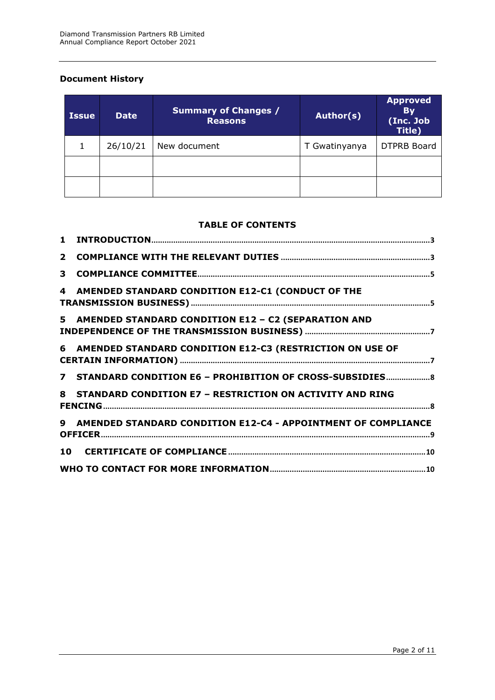# **Document History**

| <b>Issue</b> | <b>Date</b> | <b>Summary of Changes /</b><br><b>Reasons</b> | Author(s)     | <b>Approved</b><br><b>By</b><br>(Inc. Job<br>Title) |
|--------------|-------------|-----------------------------------------------|---------------|-----------------------------------------------------|
|              | 26/10/21    | New document                                  | T Gwatinyanya | <b>DTPRB Board</b>                                  |
|              |             |                                               |               |                                                     |
|              |             |                                               |               |                                                     |

## **TABLE OF CONTENTS**

| 3 |                                                                 |  |
|---|-----------------------------------------------------------------|--|
| 4 | AMENDED STANDARD CONDITION E12-C1 (CONDUCT OF THE               |  |
|   | 5 AMENDED STANDARD CONDITION E12 - C2 (SEPARATION AND           |  |
|   | 6 AMENDED STANDARD CONDITION E12-C3 (RESTRICTION ON USE OF      |  |
|   | 7 STANDARD CONDITION E6 - PROHIBITION OF CROSS-SUBSIDIES 8      |  |
|   | 8 STANDARD CONDITION E7 - RESTRICTION ON ACTIVITY AND RING      |  |
|   | 9 AMENDED STANDARD CONDITION E12-C4 - APPOINTMENT OF COMPLIANCE |  |
|   |                                                                 |  |
|   |                                                                 |  |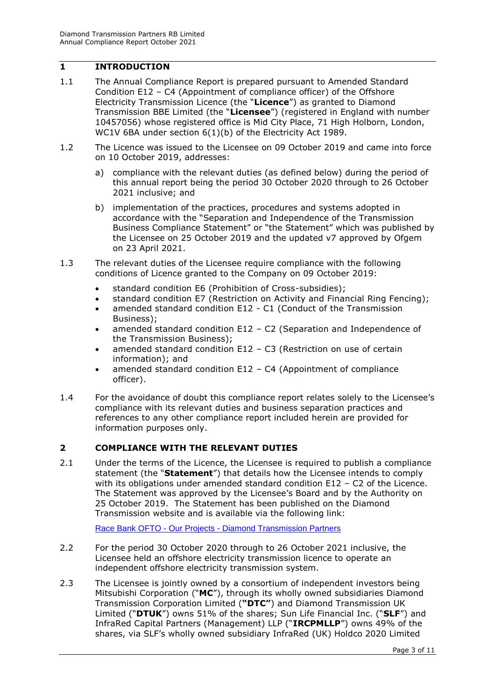# <span id="page-2-0"></span>**1 INTRODUCTION**

- 1.1 The Annual Compliance Report is prepared pursuant to Amended Standard Condition E12 – C4 (Appointment of compliance officer) of the Offshore Electricity Transmission Licence (the "**Licence**") as granted to Diamond Transmission BBE Limited (the "**Licensee**") (registered in England with number 10457056) whose registered office is Mid City Place, 71 High Holborn, London, WC1V 6BA under section 6(1)(b) of the Electricity Act 1989.
- 1.2 The Licence was issued to the Licensee on 09 October 2019 and came into force on 10 October 2019, addresses:
	- a) compliance with the relevant duties (as defined below) during the period of this annual report being the period 30 October 2020 through to 26 October 2021 inclusive; and
	- b) implementation of the practices, procedures and systems adopted in accordance with the "Separation and Independence of the Transmission Business Compliance Statement" or "the Statement" which was published by the Licensee on 25 October 2019 and the updated v7 approved by Ofgem on 23 April 2021.
- 1.3 The relevant duties of the Licensee require compliance with the following conditions of Licence granted to the Company on 09 October 2019:
	- standard condition E6 (Prohibition of Cross-subsidies);
	- standard condition E7 (Restriction on Activity and Financial Ring Fencing);
	- amended standard condition E12 C1 (Conduct of the Transmission Business);
	- amended standard condition E12 C2 (Separation and Independence of the Transmission Business);
	- amended standard condition E12 C3 (Restriction on use of certain information); and
	- amended standard condition E12 C4 (Appointment of compliance officer).
- 1.4 For the avoidance of doubt this compliance report relates solely to the Licensee's compliance with its relevant duties and business separation practices and references to any other compliance report included herein are provided for information purposes only.

# <span id="page-2-1"></span>**2 COMPLIANCE WITH THE RELEVANT DUTIES**

2.1 Under the terms of the Licence, the Licensee is required to publish a compliance statement (the "**Statement**") that details how the Licensee intends to comply with its obligations under amended standard condition E12 – C2 of the Licence. The Statement was approved by the Licensee's Board and by the Authority on 25 October 2019. The Statement has been published on the Diamond Transmission website and is available via the following link:

Race Bank OFTO - Our Projects - [Diamond Transmission Partners](https://www.diamondtransmissionpartners.com/our-projects/burbo-bank-extension-ofto)

- 2.2 For the period 30 October 2020 through to 26 October 2021 inclusive, the Licensee held an offshore electricity transmission licence to operate an independent offshore electricity transmission system.
- 2.3 The Licensee is jointly owned by a consortium of independent investors being Mitsubishi Corporation ("**MC**"), through its wholly owned subsidiaries Diamond Transmission Corporation Limited (**"DTC"**) and Diamond Transmission UK Limited ("**DTUK**") owns 51% of the shares; Sun Life Financial Inc. ("**SLF**") and InfraRed Capital Partners (Management) LLP ("**IRCPMLLP**") owns 49% of the shares, via SLF's wholly owned subsidiary InfraRed (UK) Holdco 2020 Limited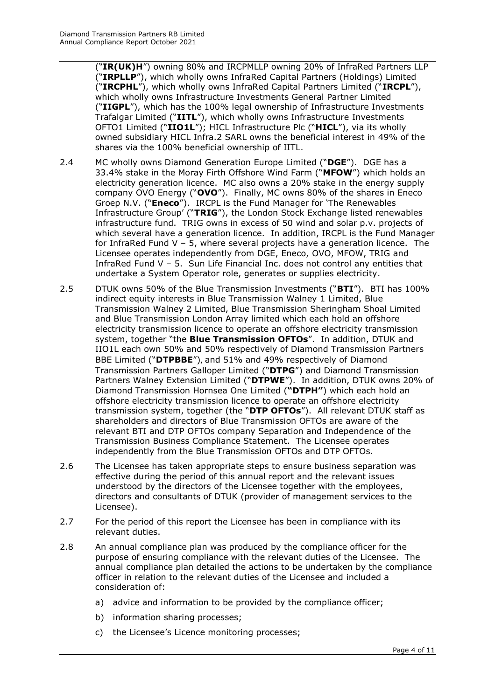("**IR(UK)H**") owning 80% and IRCPMLLP owning 20% of InfraRed Partners LLP ("**IRPLLP**"), which wholly owns InfraRed Capital Partners (Holdings) Limited ("**IRCPHL**"), which wholly owns InfraRed Capital Partners Limited ("**IRCPL**"), which wholly owns Infrastructure Investments General Partner Limited ("**IIGPL**"), which has the 100% legal ownership of Infrastructure Investments Trafalgar Limited ("**IITL**"), which wholly owns Infrastructure Investments OFTO1 Limited ("**IIO1L**"); HICL Infrastructure Plc ("**HICL**"), via its wholly owned subsidiary HICL Infra.2 SARL owns the beneficial interest in 49% of the shares via the 100% beneficial ownership of IITL.

- 2.4 MC wholly owns Diamond Generation Europe Limited ("**DGE**"). DGE has a 33.4% stake in the Moray Firth Offshore Wind Farm ("**MFOW**") which holds an electricity generation licence. MC also owns a 20% stake in the energy supply company OVO Energy ("**OVO**"). Finally, MC owns 80% of the shares in Eneco Groep N.V. ("**Eneco**"). IRCPL is the Fund Manager for 'The Renewables Infrastructure Group' ("**TRIG**"), the London Stock Exchange listed renewables infrastructure fund. TRIG owns in excess of 50 wind and solar p.v. projects of which several have a generation licence. In addition, IRCPL is the Fund Manager for InfraRed Fund V – 5, where several projects have a generation licence. The Licensee operates independently from DGE, Eneco, OVO, MFOW, TRIG and InfraRed Fund V – 5. Sun Life Financial Inc. does not control any entities that undertake a System Operator role, generates or supplies electricity.
- 2.5 DTUK owns 50% of the Blue Transmission Investments ("**BTI**"). BTI has 100% indirect equity interests in Blue Transmission Walney 1 Limited, Blue Transmission Walney 2 Limited, Blue Transmission Sheringham Shoal Limited and Blue Transmission London Array limited which each hold an offshore electricity transmission licence to operate an offshore electricity transmission system, together "the **Blue Transmission OFTOs**". In addition, DTUK and IIO1L each own 50% and 50% respectively of Diamond Transmission Partners BBE Limited ("**DTPBBE**"), and 51% and 49% respectively of Diamond Transmission Partners Galloper Limited ("**DTPG**") and Diamond Transmission Partners Walney Extension Limited ("**DTPWE**"). In addition, DTUK owns 20% of Diamond Transmission Hornsea One Limited (**"DTPH"**) which each hold an offshore electricity transmission licence to operate an offshore electricity transmission system, together (the "**DTP OFTOs**"). All relevant DTUK staff as shareholders and directors of Blue Transmission OFTOs are aware of the relevant BTI and DTP OFTOs company Separation and Independence of the Transmission Business Compliance Statement. The Licensee operates independently from the Blue Transmission OFTOs and DTP OFTOs.
- 2.6 The Licensee has taken appropriate steps to ensure business separation was effective during the period of this annual report and the relevant issues understood by the directors of the Licensee together with the employees, directors and consultants of DTUK (provider of management services to the Licensee).
- 2.7 For the period of this report the Licensee has been in compliance with its relevant duties.
- 2.8 An annual compliance plan was produced by the compliance officer for the purpose of ensuring compliance with the relevant duties of the Licensee. The annual compliance plan detailed the actions to be undertaken by the compliance officer in relation to the relevant duties of the Licensee and included a consideration of:
	- a) advice and information to be provided by the compliance officer;
	- b) information sharing processes;
	- c) the Licensee's Licence monitoring processes;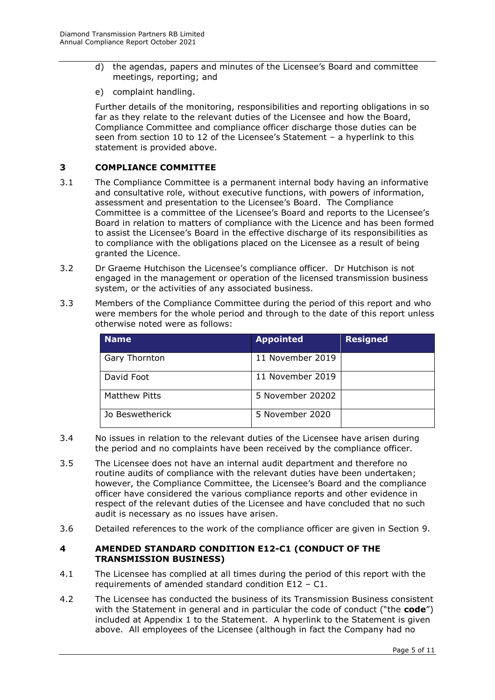- d) the agendas, papers and minutes of the Licensee's Board and committee meetings, reporting; and
- e) complaint handling.

Further details of the monitoring, responsibilities and reporting obligations in so far as they relate to the relevant duties of the Licensee and how the Board, Compliance Committee and compliance officer discharge those duties can be seen from section 10 to 12 of the Licensee's Statement – a hyperlink to this statement is provided above.

## <span id="page-4-0"></span>**3 COMPLIANCE COMMITTEE**

- 3.1 The Compliance Committee is a permanent internal body having an informative and consultative role, without executive functions, with powers of information, assessment and presentation to the Licensee's Board. The Compliance Committee is a committee of the Licensee's Board and reports to the Licensee's Board in relation to matters of compliance with the Licence and has been formed to assist the Licensee's Board in the effective discharge of its responsibilities as to compliance with the obligations placed on the Licensee as a result of being granted the Licence.
- 3.2 Dr Graeme Hutchison the Licensee's compliance officer. Dr Hutchison is not engaged in the management or operation of the licensed transmission business system, or the activities of any associated business.
- 3.3 Members of the Compliance Committee during the period of this report and who were members for the whole period and through to the date of this report unless otherwise noted were as follows:

| <b>Name</b>          | <b>Appointed</b> | <b>Resigned</b> |
|----------------------|------------------|-----------------|
| Gary Thornton        | 11 November 2019 |                 |
| David Foot           | 11 November 2019 |                 |
| <b>Matthew Pitts</b> | 5 November 20202 |                 |
| Jo Beswetherick      | 5 November 2020  |                 |

- 3.4 No issues in relation to the relevant duties of the Licensee have arisen during the period and no complaints have been received by the compliance officer.
- 3.5 The Licensee does not have an internal audit department and therefore no routine audits of compliance with the relevant duties have been undertaken; however, the Compliance Committee, the Licensee's Board and the compliance officer have considered the various compliance reports and other evidence in respect of the relevant duties of the Licensee and have concluded that no such audit is necessary as no issues have arisen.
- 3.6 Detailed references to the work of the compliance officer are given in Section 9.

## <span id="page-4-1"></span>**4 AMENDED STANDARD CONDITION E12-C1 (CONDUCT OF THE TRANSMISSION BUSINESS)**

- 4.1 The Licensee has complied at all times during the period of this report with the requirements of amended standard condition E12 – C1.
- 4.2 The Licensee has conducted the business of its Transmission Business consistent with the Statement in general and in particular the code of conduct ("the **code**") included at Appendix 1 to the Statement. A hyperlink to the Statement is given above. All employees of the Licensee (although in fact the Company had no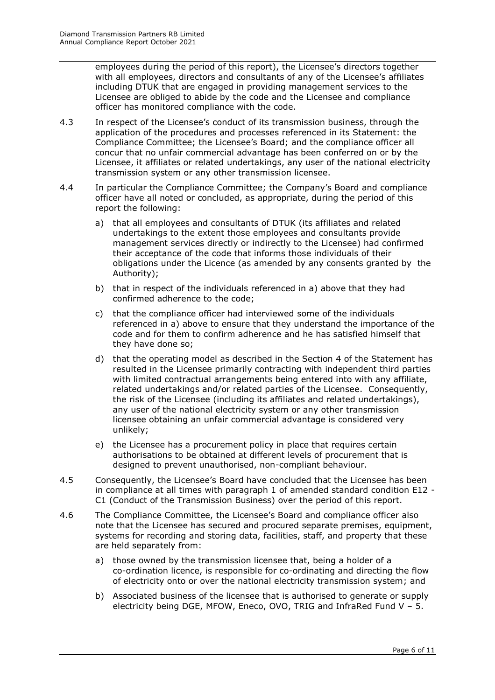employees during the period of this report), the Licensee's directors together with all employees, directors and consultants of any of the Licensee's affiliates including DTUK that are engaged in providing management services to the Licensee are obliged to abide by the code and the Licensee and compliance officer has monitored compliance with the code.

- 4.3 In respect of the Licensee's conduct of its transmission business, through the application of the procedures and processes referenced in its Statement: the Compliance Committee; the Licensee's Board; and the compliance officer all concur that no unfair commercial advantage has been conferred on or by the Licensee, it affiliates or related undertakings, any user of the national electricity transmission system or any other transmission licensee.
- 4.4 In particular the Compliance Committee; the Company's Board and compliance officer have all noted or concluded, as appropriate, during the period of this report the following:
	- a) that all employees and consultants of DTUK (its affiliates and related undertakings to the extent those employees and consultants provide management services directly or indirectly to the Licensee) had confirmed their acceptance of the code that informs those individuals of their obligations under the Licence (as amended by any consents granted by the Authority);
	- b) that in respect of the individuals referenced in a) above that they had confirmed adherence to the code;
	- c) that the compliance officer had interviewed some of the individuals referenced in a) above to ensure that they understand the importance of the code and for them to confirm adherence and he has satisfied himself that they have done so;
	- d) that the operating model as described in the Section 4 of the Statement has resulted in the Licensee primarily contracting with independent third parties with limited contractual arrangements being entered into with any affiliate, related undertakings and/or related parties of the Licensee. Consequently, the risk of the Licensee (including its affiliates and related undertakings), any user of the national electricity system or any other transmission licensee obtaining an unfair commercial advantage is considered very unlikely;
	- e) the Licensee has a procurement policy in place that requires certain authorisations to be obtained at different levels of procurement that is designed to prevent unauthorised, non-compliant behaviour.
- 4.5 Consequently, the Licensee's Board have concluded that the Licensee has been in compliance at all times with paragraph 1 of amended standard condition E12 - C1 (Conduct of the Transmission Business) over the period of this report.
- 4.6 The Compliance Committee, the Licensee's Board and compliance officer also note that the Licensee has secured and procured separate premises, equipment, systems for recording and storing data, facilities, staff, and property that these are held separately from:
	- a) those owned by the transmission licensee that, being a holder of a co-ordination licence, is responsible for co-ordinating and directing the flow of electricity onto or over the national electricity transmission system; and
	- b) Associated business of the licensee that is authorised to generate or supply electricity being DGE, MFOW, Eneco, OVO, TRIG and InfraRed Fund V – 5.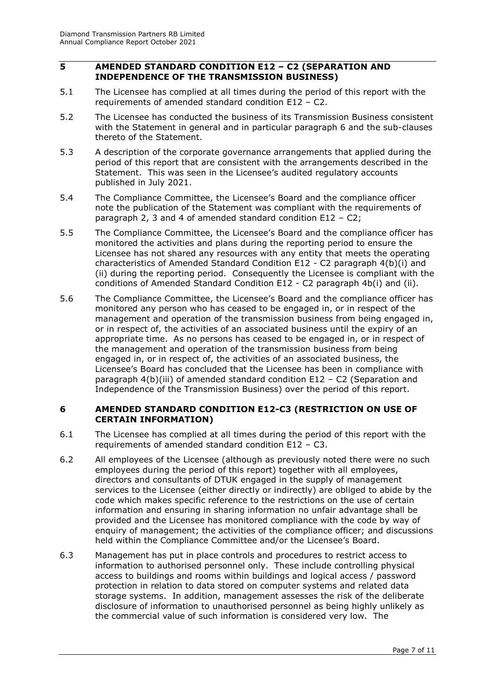#### <span id="page-6-0"></span>**5 AMENDED STANDARD CONDITION E12 – C2 (SEPARATION AND INDEPENDENCE OF THE TRANSMISSION BUSINESS)**

- 5.1 The Licensee has complied at all times during the period of this report with the requirements of amended standard condition E12 – C2.
- 5.2 The Licensee has conducted the business of its Transmission Business consistent with the Statement in general and in particular paragraph 6 and the sub-clauses thereto of the Statement.
- 5.3 A description of the corporate governance arrangements that applied during the period of this report that are consistent with the arrangements described in the Statement. This was seen in the Licensee's audited regulatory accounts published in July 2021.
- 5.4 The Compliance Committee, the Licensee's Board and the compliance officer note the publication of the Statement was compliant with the requirements of paragraph 2, 3 and 4 of amended standard condition E12 – C2;
- 5.5 The Compliance Committee, the Licensee's Board and the compliance officer has monitored the activities and plans during the reporting period to ensure the Licensee has not shared any resources with any entity that meets the operating characteristics of Amended Standard Condition E12 - C2 paragraph 4(b)(i) and (ii) during the reporting period. Consequently the Licensee is compliant with the conditions of Amended Standard Condition E12 - C2 paragraph 4b(i) and (ii).
- 5.6 The Compliance Committee, the Licensee's Board and the compliance officer has monitored any person who has ceased to be engaged in, or in respect of the management and operation of the transmission business from being engaged in, or in respect of, the activities of an associated business until the expiry of an appropriate time. As no persons has ceased to be engaged in, or in respect of the management and operation of the transmission business from being engaged in, or in respect of, the activities of an associated business, the Licensee's Board has concluded that the Licensee has been in compliance with paragraph 4(b)(iii) of amended standard condition E12 – C2 (Separation and Independence of the Transmission Business) over the period of this report.

## <span id="page-6-1"></span>**6 AMENDED STANDARD CONDITION E12-C3 (RESTRICTION ON USE OF CERTAIN INFORMATION)**

- 6.1 The Licensee has complied at all times during the period of this report with the requirements of amended standard condition E12 – C3.
- 6.2 All employees of the Licensee (although as previously noted there were no such employees during the period of this report) together with all employees, directors and consultants of DTUK engaged in the supply of management services to the Licensee (either directly or indirectly) are obliged to abide by the code which makes specific reference to the restrictions on the use of certain information and ensuring in sharing information no unfair advantage shall be provided and the Licensee has monitored compliance with the code by way of enquiry of management; the activities of the compliance officer; and discussions held within the Compliance Committee and/or the Licensee's Board.
- 6.3 Management has put in place controls and procedures to restrict access to information to authorised personnel only. These include controlling physical access to buildings and rooms within buildings and logical access / password protection in relation to data stored on computer systems and related data storage systems. In addition, management assesses the risk of the deliberate disclosure of information to unauthorised personnel as being highly unlikely as the commercial value of such information is considered very low. The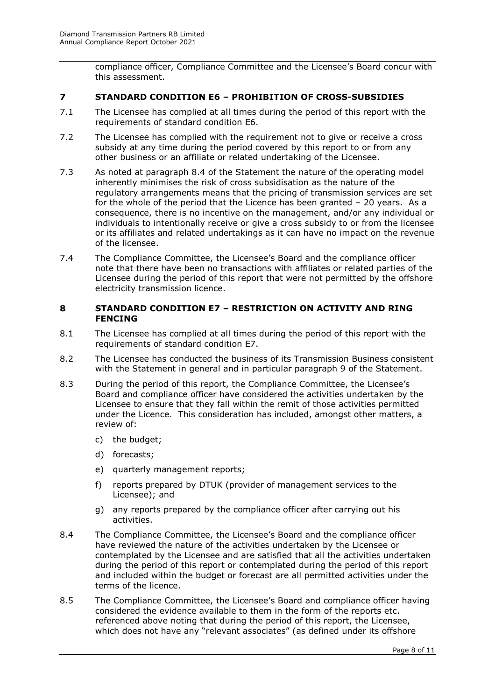compliance officer, Compliance Committee and the Licensee's Board concur with this assessment.

## <span id="page-7-0"></span>**7 STANDARD CONDITION E6 – PROHIBITION OF CROSS-SUBSIDIES**

- 7.1 The Licensee has complied at all times during the period of this report with the requirements of standard condition E6.
- 7.2 The Licensee has complied with the requirement not to give or receive a cross subsidy at any time during the period covered by this report to or from any other business or an affiliate or related undertaking of the Licensee.
- 7.3 As noted at paragraph 8.4 of the Statement the nature of the operating model inherently minimises the risk of cross subsidisation as the nature of the regulatory arrangements means that the pricing of transmission services are set for the whole of the period that the Licence has been granted – 20 years. As a consequence, there is no incentive on the management, and/or any individual or individuals to intentionally receive or give a cross subsidy to or from the licensee or its affiliates and related undertakings as it can have no impact on the revenue of the licensee.
- 7.4 The Compliance Committee, the Licensee's Board and the compliance officer note that there have been no transactions with affiliates or related parties of the Licensee during the period of this report that were not permitted by the offshore electricity transmission licence.

#### <span id="page-7-1"></span>**8 STANDARD CONDITION E7 – RESTRICTION ON ACTIVITY AND RING FENCING**

- 8.1 The Licensee has complied at all times during the period of this report with the requirements of standard condition E7.
- 8.2 The Licensee has conducted the business of its Transmission Business consistent with the Statement in general and in particular paragraph 9 of the Statement.
- 8.3 During the period of this report, the Compliance Committee, the Licensee's Board and compliance officer have considered the activities undertaken by the Licensee to ensure that they fall within the remit of those activities permitted under the Licence. This consideration has included, amongst other matters, a review of:
	- c) the budget;
	- d) forecasts;
	- e) quarterly management reports;
	- f) reports prepared by DTUK (provider of management services to the Licensee); and
	- g) any reports prepared by the compliance officer after carrying out his activities.
- 8.4 The Compliance Committee, the Licensee's Board and the compliance officer have reviewed the nature of the activities undertaken by the Licensee or contemplated by the Licensee and are satisfied that all the activities undertaken during the period of this report or contemplated during the period of this report and included within the budget or forecast are all permitted activities under the terms of the licence.
- 8.5 The Compliance Committee, the Licensee's Board and compliance officer having considered the evidence available to them in the form of the reports etc. referenced above noting that during the period of this report, the Licensee, which does not have any "relevant associates" (as defined under its offshore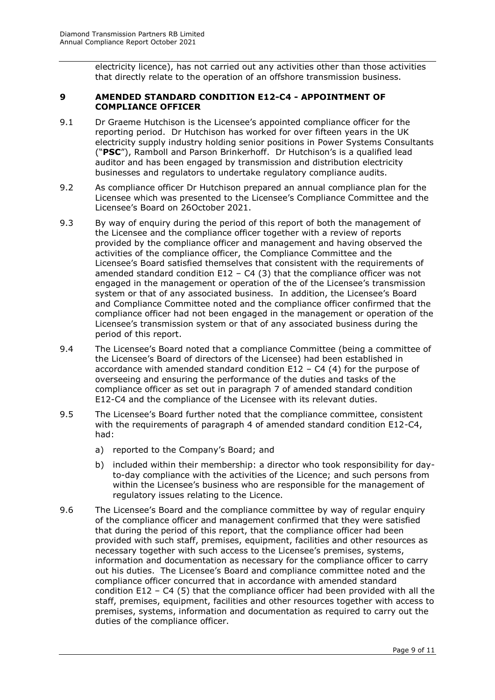electricity licence), has not carried out any activities other than those activities that directly relate to the operation of an offshore transmission business.

### <span id="page-8-0"></span>**9 AMENDED STANDARD CONDITION E12-C4 - APPOINTMENT OF COMPLIANCE OFFICER**

- 9.1 Dr Graeme Hutchison is the Licensee's appointed compliance officer for the reporting period. Dr Hutchison has worked for over fifteen years in the UK electricity supply industry holding senior positions in Power Systems Consultants ("**PSC**"), Ramboll and Parson Brinkerhoff. Dr Hutchison's is a qualified lead auditor and has been engaged by transmission and distribution electricity businesses and regulators to undertake regulatory compliance audits.
- 9.2 As compliance officer Dr Hutchison prepared an annual compliance plan for the Licensee which was presented to the Licensee's Compliance Committee and the Licensee's Board on 26October 2021.
- 9.3 By way of enquiry during the period of this report of both the management of the Licensee and the compliance officer together with a review of reports provided by the compliance officer and management and having observed the activities of the compliance officer, the Compliance Committee and the Licensee's Board satisfied themselves that consistent with the requirements of amended standard condition  $E12 - C4$  (3) that the compliance officer was not engaged in the management or operation of the of the Licensee's transmission system or that of any associated business. In addition, the Licensee's Board and Compliance Committee noted and the compliance officer confirmed that the compliance officer had not been engaged in the management or operation of the Licensee's transmission system or that of any associated business during the period of this report.
- 9.4 The Licensee's Board noted that a compliance Committee (being a committee of the Licensee's Board of directors of the Licensee) had been established in accordance with amended standard condition  $E12 - C4$  (4) for the purpose of overseeing and ensuring the performance of the duties and tasks of the compliance officer as set out in paragraph 7 of amended standard condition E12-C4 and the compliance of the Licensee with its relevant duties.
- 9.5 The Licensee's Board further noted that the compliance committee, consistent with the requirements of paragraph 4 of amended standard condition E12-C4, had:
	- a) reported to the Company's Board; and
	- b) included within their membership: a director who took responsibility for dayto-day compliance with the activities of the Licence; and such persons from within the Licensee's business who are responsible for the management of regulatory issues relating to the Licence.
- 9.6 The Licensee's Board and the compliance committee by way of regular enquiry of the compliance officer and management confirmed that they were satisfied that during the period of this report, that the compliance officer had been provided with such staff, premises, equipment, facilities and other resources as necessary together with such access to the Licensee's premises, systems, information and documentation as necessary for the compliance officer to carry out his duties. The Licensee's Board and compliance committee noted and the compliance officer concurred that in accordance with amended standard condition E12 – C4 (5) that the compliance officer had been provided with all the staff, premises, equipment, facilities and other resources together with access to premises, systems, information and documentation as required to carry out the duties of the compliance officer.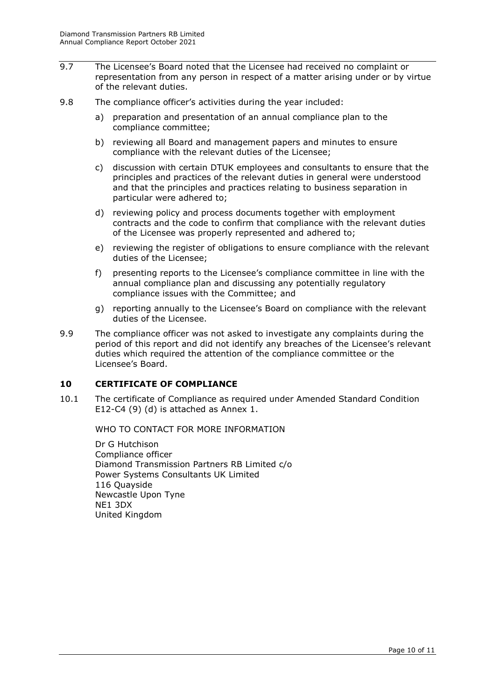- 9.7 The Licensee's Board noted that the Licensee had received no complaint or representation from any person in respect of a matter arising under or by virtue of the relevant duties.
- 9.8 The compliance officer's activities during the year included:
	- a) preparation and presentation of an annual compliance plan to the compliance committee;
	- b) reviewing all Board and management papers and minutes to ensure compliance with the relevant duties of the Licensee;
	- c) discussion with certain DTUK employees and consultants to ensure that the principles and practices of the relevant duties in general were understood and that the principles and practices relating to business separation in particular were adhered to;
	- d) reviewing policy and process documents together with employment contracts and the code to confirm that compliance with the relevant duties of the Licensee was properly represented and adhered to;
	- e) reviewing the register of obligations to ensure compliance with the relevant duties of the Licensee;
	- f) presenting reports to the Licensee's compliance committee in line with the annual compliance plan and discussing any potentially regulatory compliance issues with the Committee; and
	- g) reporting annually to the Licensee's Board on compliance with the relevant duties of the Licensee.
- 9.9 The compliance officer was not asked to investigate any complaints during the period of this report and did not identify any breaches of the Licensee's relevant duties which required the attention of the compliance committee or the Licensee's Board.

# <span id="page-9-0"></span>**10 CERTIFICATE OF COMPLIANCE**

<span id="page-9-1"></span>10.1 The certificate of Compliance as required under Amended Standard Condition E12-C4 (9) (d) is attached as Annex 1.

WHO TO CONTACT FOR MORE INFORMATION

Dr G Hutchison Compliance officer Diamond Transmission Partners RB Limited c/o Power Systems Consultants UK Limited 116 Quayside Newcastle Upon Tyne NE1 3DX United Kingdom